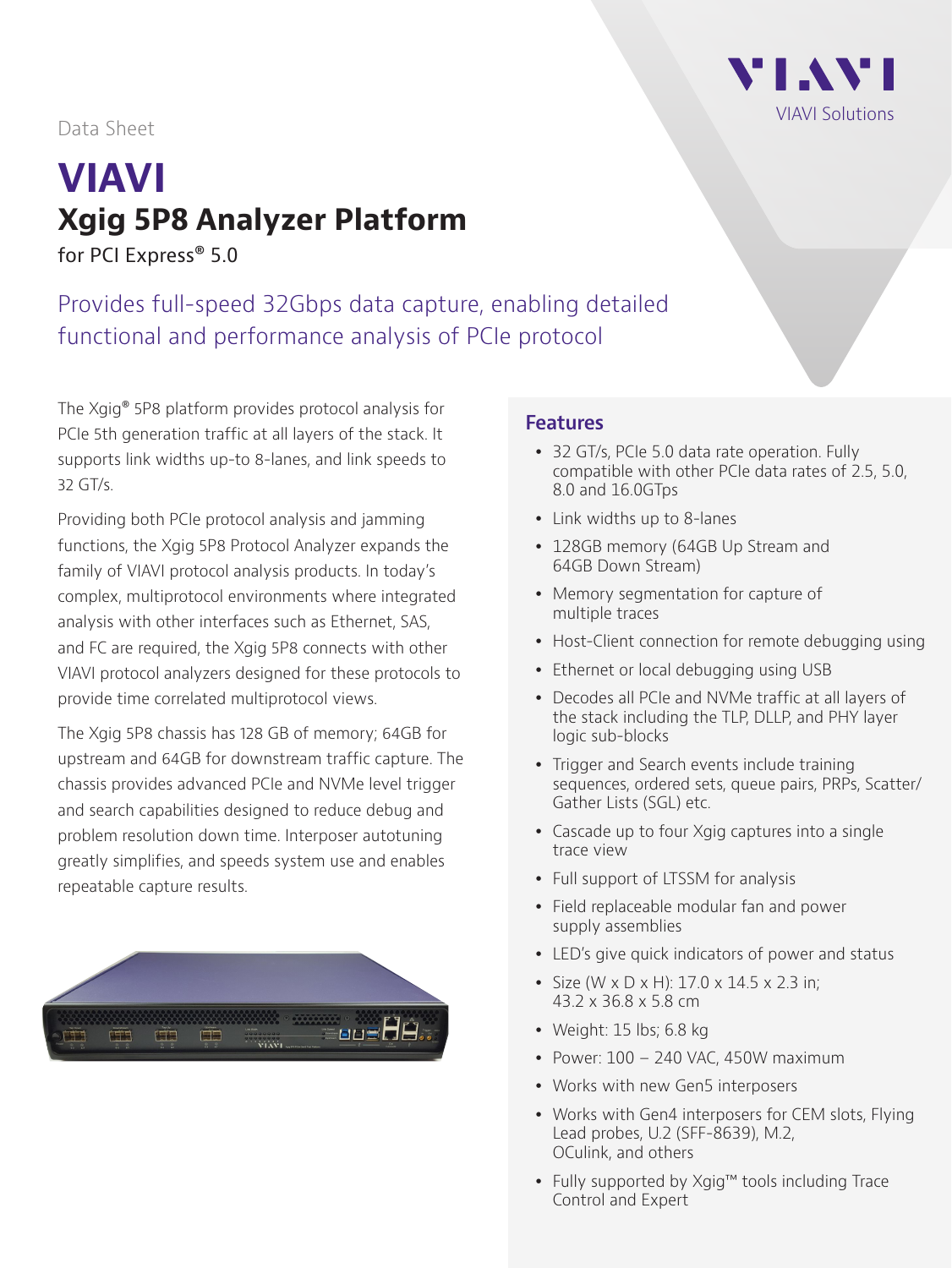

#### Data Sheet

# **VIAVI Xgig 5P8 Analyzer Platform**

for PCI Express<sup>®</sup> 5.0

Provides full-speed 32Gbps data capture, enabling detailed functional and performance analysis of PCIe protocol

The Xgig® 5P8 platform provides protocol analysis for PCIe 5th generation traffic at all layers of the stack. It supports link widths up-to 8-lanes, and link speeds to 32 GT/s.

Providing both PCIe protocol analysis and jamming functions, the Xgig 5P8 Protocol Analyzer expands the family of VIAVI protocol analysis products. In today's complex, multiprotocol environments where integrated analysis with other interfaces such as Ethernet, SAS, and FC are required, the Xgig 5P8 connects with other VIAVI protocol analyzers designed for these protocols to provide time correlated multiprotocol views.

The Xgig 5P8 chassis has 128 GB of memory; 64GB for upstream and 64GB for downstream traffic capture. The chassis provides advanced PCIe and NVMe level trigger and search capabilities designed to reduce debug and problem resolution down time. Interposer autotuning greatly simplifies, and speeds system use and enables repeatable capture results.



#### **Features**

- 32 GT/s, PCIe 5.0 data rate operation. Fully compatible with other PCIe data rates of 2.5, 5.0, 8.0 and 16.0GTps
- Link widths up to 8-lanes
- 128GB memory (64GB Up Stream and 64GB Down Stream)
- Memory segmentation for capture of multiple traces
- Host-Client connection for remote debugging using
- Ethernet or local debugging using USB
- Decodes all PCIe and NVMe traffic at all layers of the stack including the TLP, DLLP, and PHY layer logic sub-blocks
- Trigger and Search events include training sequences, ordered sets, queue pairs, PRPs, Scatter/ Gather Lists (SGL) etc.
- Cascade up to four Xgig captures into a single trace view
- Full support of LTSSM for analysis
- Field replaceable modular fan and power supply assemblies
- LED's give quick indicators of power and status
- Size (W x D x H):  $17.0$  x  $14.5$  x  $2.3$  in; 43.2 x 36.8 x 5.8 cm
- Weight:  $15$  lbs;  $6.8$  kg
- Power:  $100 240$  VAC, 450W maximum
- Works with new Gen5 interposers
- Works with Gen4 interposers for CEM slots, Flying Lead probes, U.2 (SFF-8639), M.2, OCulink, and others
- Fully supported by Xgig™ tools including Trace Control and Expert